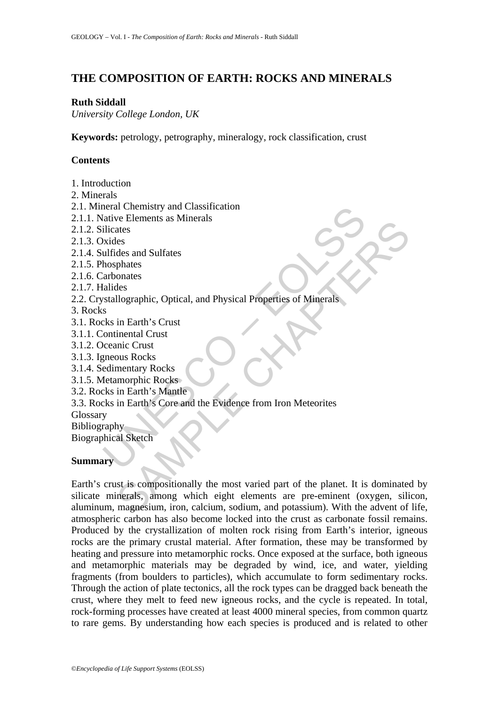# **THE COMPOSITION OF EARTH: ROCKS AND MINERALS**

## **Ruth Siddall**

*University College London, UK* 

**Keywords:** petrology, petrography, mineralogy, rock classification, crust

# **Contents**

- 1. Introduction
- 2. Minerals
- 2.1. Mineral Chemistry and Classification
- 2.1.1. Native Elements as Minerals
- 2.1.2. Silicates
- 2.1.3. Oxides
- 2.1.4. Sulfides and Sulfates
- 2.1.5. Phosphates
- 2.1.6. Carbonates
- 2.1.7. Halides
- neral Chemistry and Classification<br>
ilicates<br>
Elicates<br>
Elicates<br>
ilicates<br>
ulfides and Sulfates<br>
ulfides and Sulfates<br>
arbonates<br>
arbonates<br>
arbonates<br>
s<br>
s<br>
us crist continental Crust<br>
s<br>
s<br>
s<br>
s<br>
s<br>
s<br>
s<br>
s<br>
s<br>
s<br>
s<br>
s<br> 2.2. Crystallographic, Optical, and Physical Properties of Minerals
- 3. Rocks
- 3.1. Rocks in Earth's Crust
- 3.1.1. Continental Crust
- 3.1.2. Oceanic Crust
- 3.1.3. Igneous Rocks
- 3.1.4. Sedimentary Rocks
- 3.1.5. Metamorphic Rocks
- 3.2. Rocks in Earth's Mantle
- 3.3. Rocks in Earth's Core and the Evidence from Iron Meteorites
- Glossary
- Bibliography
- Biographical Sketch

# **Summary**

Exercises as wincluss<br>
elses<br>
des and Sulfates<br>
llographic, Optical, and Physical Properties of Minerals<br>
in Earth's Crust<br>
inential Crust<br>
in Earth's Mantle<br>
in Earth's Mantle<br>
in Earth's Mantle<br>
in Earth's Core and the E Earth's crust is compositionally the most varied part of the planet. It is dominated by silicate minerals, among which eight elements are pre-eminent (oxygen, silicon, aluminum, magnesium, iron, calcium, sodium, and potassium). With the advent of life, atmospheric carbon has also become locked into the crust as carbonate fossil remains. Produced by the crystallization of molten rock rising from Earth's interior, igneous rocks are the primary crustal material. After formation, these may be transformed by heating and pressure into metamorphic rocks. Once exposed at the surface, both igneous and metamorphic materials may be degraded by wind, ice, and water, yielding fragments (from boulders to particles), which accumulate to form sedimentary rocks. Through the action of plate tectonics, all the rock types can be dragged back beneath the crust, where they melt to feed new igneous rocks, and the cycle is repeated. In total, rock-forming processes have created at least 4000 mineral species, from common quartz to rare gems. By understanding how each species is produced and is related to other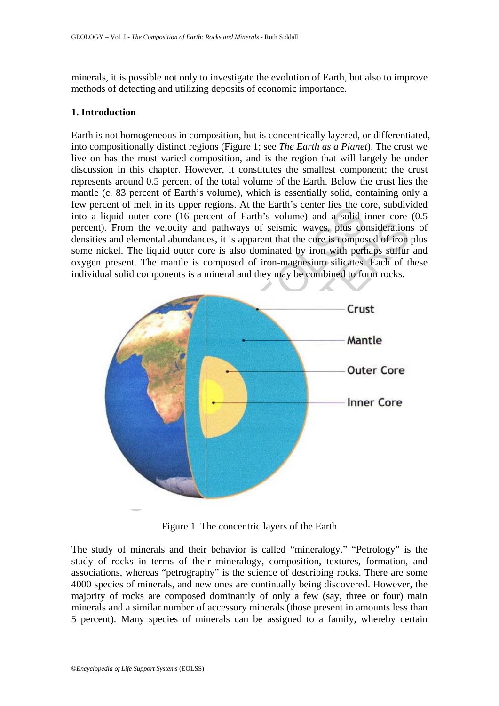minerals, it is possible not only to investigate the evolution of Earth, but also to improve methods of detecting and utilizing deposits of economic importance.

## **1. Introduction**

Earth is not homogeneous in composition, but is concentrically layered, or differentiated, into compositionally distinct regions (Figure 1; see *The Earth as a Planet*). The crust we live on has the most varied composition, and is the region that will largely be under discussion in this chapter. However, it constitutes the smallest component; the crust represents around 0.5 percent of the total volume of the Earth. Below the crust lies the mantle (c. 83 percent of Earth's volume), which is essentially solid, containing only a few percent of melt in its upper regions. At the Earth's center lies the core, subdivided into a liquid outer core (16 percent of Earth's volume) and a solid inner core (0.5 percent). From the velocity and pathways of seismic waves, plus considerations of densities and elemental abundances, it is apparent that the core is composed of iron plus some nickel. The liquid outer core is also dominated by iron with perhaps sulfur and oxygen present. The mantle is composed of iron-magnesium silicates. Each of these individual solid components is a mineral and they may be combined to form rocks.



Figure 1. The concentric layers of the Earth

The study of minerals and their behavior is called "mineralogy." "Petrology" is the study of rocks in terms of their mineralogy, composition, textures, formation, and associations, whereas "petrography" is the science of describing rocks. There are some 4000 species of minerals, and new ones are continually being discovered. However, the majority of rocks are composed dominantly of only a few (say, three or four) main minerals and a similar number of accessory minerals (those present in amounts less than 5 percent). Many species of minerals can be assigned to a family, whereby certain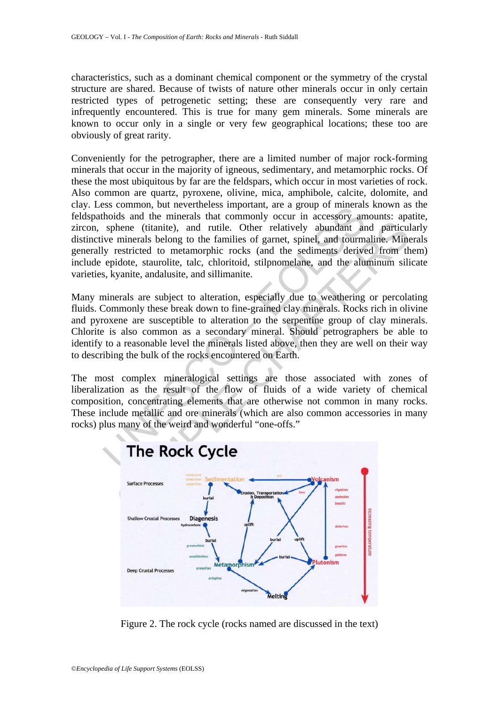characteristics, such as a dominant chemical component or the symmetry of the crystal structure are shared. Because of twists of nature other minerals occur in only certain restricted types of petrogenetic setting; these are consequently very rare and infrequently encountered. This is true for many gem minerals. Some minerals are known to occur only in a single or very few geographical locations; these too are obviously of great rarity.

Examination, our levellieses important, are a group of initial<br>schools and the minerals that commonly occur in accessory am<br>sphene (titanite), and rutile. Other relatively abundant ar<br>ive minerals belong to the families o Conveniently for the petrographer, there are a limited number of major rock-forming minerals that occur in the majority of igneous, sedimentary, and metamorphic rocks. Of these the most ubiquitous by far are the feldspars, which occur in most varieties of rock. Also common are quartz, pyroxene, olivine, mica, amphibole, calcite, dolomite, and clay. Less common, but nevertheless important, are a group of minerals known as the feldspathoids and the minerals that commonly occur in accessory amounts: apatite, zircon, sphene (titanite), and rutile. Other relatively abundant and particularly distinctive minerals belong to the families of garnet, spinel, and tourmaline. Minerals generally restricted to metamorphic rocks (and the sediments derived from them) include epidote, staurolite, talc, chloritoid, stilpnomelane, and the aluminum silicate varieties, kyanite, andalusite, and sillimanite.

Many minerals are subject to alteration, especially due to weathering or percolating fluids. Commonly these break down to fine-grained clay minerals. Rocks rich in olivine and pyroxene are susceptible to alteration to the serpentine group of clay minerals. Chlorite is also common as a secondary mineral. Should petrographers be able to identify to a reasonable level the minerals listed above, then they are well on their way to describing the bulk of the rocks encountered on Earth.

The most complex mineralogical settings are those associated with zones of liberalization as the result of the flow of fluids of a wide variety of chemical composition, concentrating elements that are otherwise not common in many rocks. These include metallic and ore minerals (which are also common accessories in many rocks) plus many of the weird and wonderful "one-offs."



Figure 2. The rock cycle (rocks named are discussed in the text)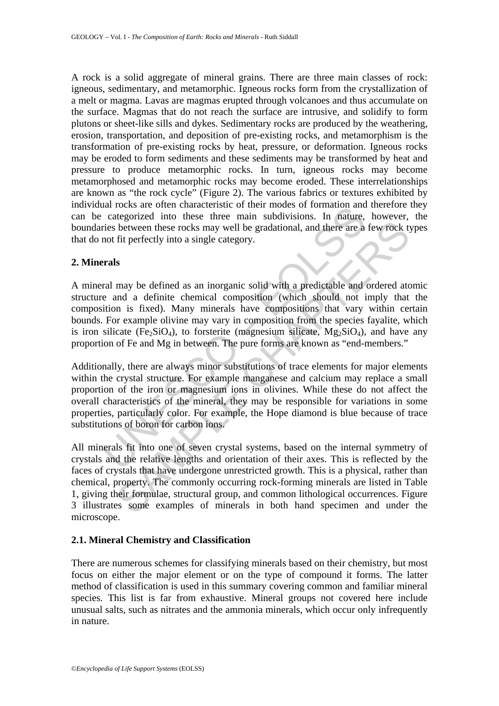A rock is a solid aggregate of mineral grains. There are three main classes of rock: igneous, sedimentary, and metamorphic. Igneous rocks form from the crystallization of a melt or magma. Lavas are magmas erupted through volcanoes and thus accumulate on the surface. Magmas that do not reach the surface are intrusive, and solidify to form plutons or sheet-like sills and dykes. Sedimentary rocks are produced by the weathering, erosion, transportation, and deposition of pre-existing rocks, and metamorphism is the transformation of pre-existing rocks by heat, pressure, or deformation. Igneous rocks may be eroded to form sediments and these sediments may be transformed by heat and pressure to produce metamorphic rocks. In turn, igneous rocks may become metamorphosed and metamorphic rocks may become eroded. These interrelationships are known as "the rock cycle" (Figure 2). The various fabrics or textures exhibited by individual rocks are often characteristic of their modes of formation and therefore they can be categorized into these three main subdivisions. In nature, however, the boundaries between these rocks may well be gradational, and there are a few rock types that do not fit perfectly into a single category.

### **2. Minerals**

a local service included is to their matched in the case of infinition and case after the matched into these three main subdivisions. In nature, and there are a more in the predictional, and there are a more fit perfectly A mineral may be defined as an inorganic solid with a predictable and ordered atomic structure and a definite chemical composition (which should not imply that the composition is fixed). Many minerals have compositions that vary within certain bounds. For example olivine may vary in composition from the species fayalite, which is iron silicate (Fe<sub>2</sub>SiO<sub>4</sub>), to forsterite (magnesium silicate,  $Mg_2SiO_4$ ), and have any proportion of Fe and Mg in between. The pure forms are known as "end-members."

Additionally, there are always minor substitutions of trace elements for major elements within the crystal structure. For example manganese and calcium may replace a small proportion of the iron or magnesium ions in olivines. While these do not affect the overall characteristics of the mineral, they may be responsible for variations in some properties, particularly color. For example, the Hope diamond is blue because of trace substitutions of boron for carbon ions.

between these rocks may well be gradational, and there are a few rock to<br>between these rocks may well be gradational, and there are a few rock to<br>fit perfectly into a single category.<br>Somewhered as an inorganic solid with All minerals fit into one of seven crystal systems, based on the internal symmetry of crystals and the relative lengths and orientation of their axes. This is reflected by the faces of crystals that have undergone unrestricted growth. This is a physical, rather than chemical, property. The commonly occurring rock-forming minerals are listed in Table 1, giving their formulae, structural group, and common lithological occurrences. Figure 3 illustrates some examples of minerals in both hand specimen and under the microscope.

# **2.1. Mineral Chemistry and Classification**

There are numerous schemes for classifying minerals based on their chemistry, but most focus on either the major element or on the type of compound it forms. The latter method of classification is used in this summary covering common and familiar mineral species. This list is far from exhaustive. Mineral groups not covered here include unusual salts, such as nitrates and the ammonia minerals, which occur only infrequently in nature.